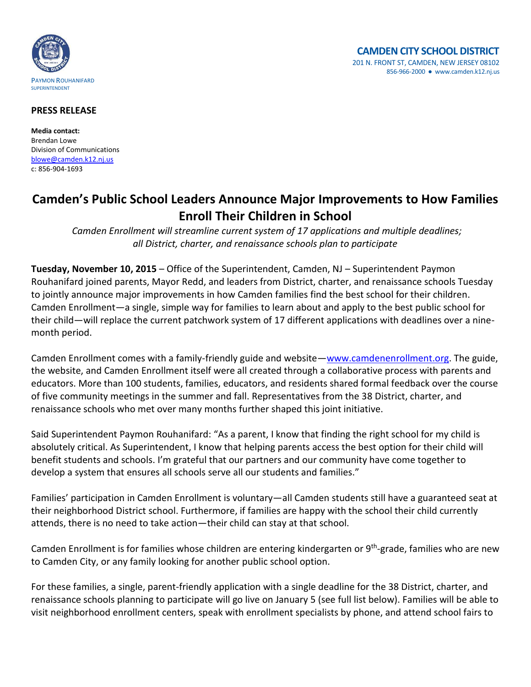

#### **PRESS RELEASE**

**Media contact:** Brendan Lowe Division of Communications [blowe@camden.k12.nj.us](mailto:blowe@camden.k12.nj.us) c: 856-904-1693

# **Camden's Public School Leaders Announce Major Improvements to How Families Enroll Their Children in School**

*Camden Enrollment will streamline current system of 17 applications and multiple deadlines; all District, charter, and renaissance schools plan to participate*

**Tuesday, November 10, 2015** – Office of the Superintendent, Camden, NJ – Superintendent Paymon Rouhanifard joined parents, Mayor Redd, and leaders from District, charter, and renaissance schools Tuesday to jointly announce major improvements in how Camden families find the best school for their children. Camden Enrollment—a single, simple way for families to learn about and apply to the best public school for their child—will replace the current patchwork system of 17 different applications with deadlines over a ninemonth period.

Camden Enrollment comes with a family-friendly guide and website—[www.camdenenrollment.org.](http://www.camdenenrollment.org/) The guide, the website, and Camden Enrollment itself were all created through a collaborative process with parents and educators. More than 100 students, families, educators, and residents shared formal feedback over the course of five community meetings in the summer and fall. Representatives from the 38 District, charter, and renaissance schools who met over many months further shaped this joint initiative.

Said Superintendent Paymon Rouhanifard: "As a parent, I know that finding the right school for my child is absolutely critical. As Superintendent, I know that helping parents access the best option for their child will benefit students and schools. I'm grateful that our partners and our community have come together to develop a system that ensures all schools serve all our students and families."

Families' participation in Camden Enrollment is voluntary—all Camden students still have a guaranteed seat at their neighborhood District school. Furthermore, if families are happy with the school their child currently attends, there is no need to take action—their child can stay at that school.

Camden Enrollment is for families whose children are entering kindergarten or 9<sup>th</sup>-grade, families who are new to Camden City, or any family looking for another public school option.

For these families, a single, parent-friendly application with a single deadline for the 38 District, charter, and renaissance schools planning to participate will go live on January 5 (see full list below). Families will be able to visit neighborhood enrollment centers, speak with enrollment specialists by phone, and attend school fairs to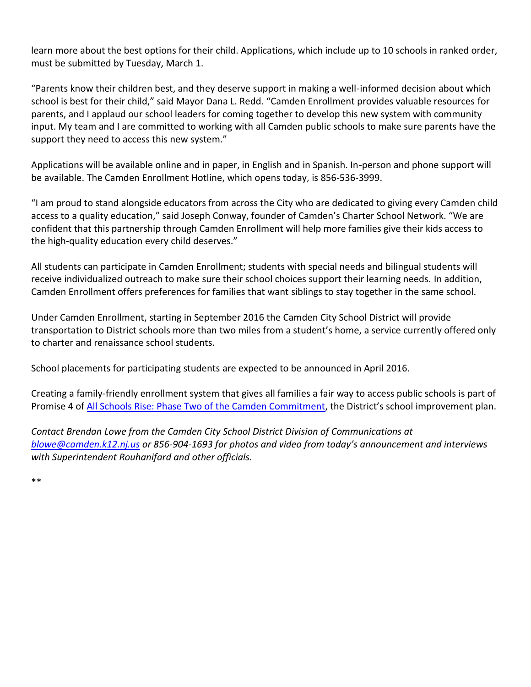learn more about the best options for their child. Applications, which include up to 10 schools in ranked order, must be submitted by Tuesday, March 1.

"Parents know their children best, and they deserve support in making a well-informed decision about which school is best for their child," said Mayor Dana L. Redd. "Camden Enrollment provides valuable resources for parents, and I applaud our school leaders for coming together to develop this new system with community input. My team and I are committed to working with all Camden public schools to make sure parents have the support they need to access this new system."

Applications will be available online and in paper, in English and in Spanish. In-person and phone support will be available. The Camden Enrollment Hotline, which opens today, is 856-536-3999.

"I am proud to stand alongside educators from across the City who are dedicated to giving every Camden child access to a quality education," said Joseph Conway, founder of Camden's Charter School Network. "We are confident that this partnership through Camden Enrollment will help more families give their kids access to the high-quality education every child deserves."

All students can participate in Camden Enrollment; students with special needs and bilingual students will receive individualized outreach to make sure their school choices support their learning needs. In addition, Camden Enrollment offers preferences for families that want siblings to stay together in the same school.

Under Camden Enrollment, starting in September 2016 the Camden City School District will provide transportation to District schools more than two miles from a student's home, a service currently offered only to charter and renaissance school students.

School placements for participating students are expected to be announced in April 2016.

Creating a family-friendly enrollment system that gives all families a fair way to access public schools is part of Promise 4 of [All Schools Rise: Phase Two of the Camden Commitment](http://www.camden.k12.nj.us/apps/pages/index.jsp?uREC_ID=229399&type=d&termREC_ID=&pREC_ID=538539), the District's school improvement plan.

*Contact Brendan Lowe from the Camden City School District Division of Communications at [blowe@camden.k12.nj.us](mailto:blowe@camden.k12.nj.us) or 856-904-1693 for photos and video from today's announcement and interviews with Superintendent Rouhanifard and other officials.* 

\*\*